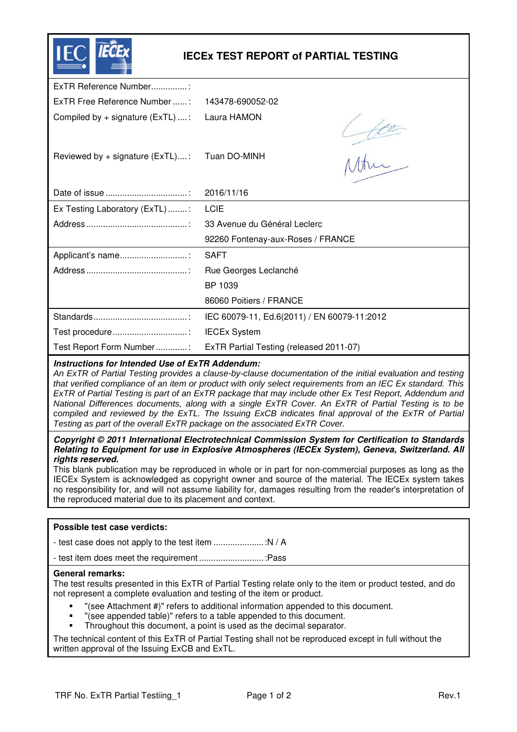|                                                 | <b>IECEX TEST REPORT of PARTIAL TESTING</b> |  |  |  |  |  |  |
|-------------------------------------------------|---------------------------------------------|--|--|--|--|--|--|
| ExTR Reference Number:                          |                                             |  |  |  |  |  |  |
| ExTR Free Reference Number :                    | 143478-690052-02                            |  |  |  |  |  |  |
| Compiled by $+$ signature (ExTL) :              | Laura HAMON                                 |  |  |  |  |  |  |
| Reviewed by + signature (ExTL):                 | $\frac{1}{10}$<br>Tuan DO-MINH              |  |  |  |  |  |  |
|                                                 | 2016/11/16                                  |  |  |  |  |  |  |
| Ex Testing Laboratory (ExTL):                   | <b>LCIE</b>                                 |  |  |  |  |  |  |
|                                                 | 33 Avenue du Général Leclerc                |  |  |  |  |  |  |
|                                                 | 92260 Fontenay-aux-Roses / FRANCE           |  |  |  |  |  |  |
| Applicant's name:                               | <b>SAFT</b>                                 |  |  |  |  |  |  |
|                                                 | Rue Georges Leclanché                       |  |  |  |  |  |  |
|                                                 | BP 1039                                     |  |  |  |  |  |  |
|                                                 | 86060 Poitiers / FRANCE                     |  |  |  |  |  |  |
|                                                 | IEC 60079-11, Ed.6(2011) / EN 60079-11:2012 |  |  |  |  |  |  |
|                                                 | <b>IECEx System</b>                         |  |  |  |  |  |  |
| Test Report Form Number:                        | ExTR Partial Testing (released 2011-07)     |  |  |  |  |  |  |
| Instructions for Intended Use of ExTR Addendum: |                                             |  |  |  |  |  |  |

An ExTR of Partial Testing provides a clause-by-clause documentation of the initial evaluation and testing that verified compliance of an item or product with only select requirements from an IEC Ex standard. This ExTR of Partial Testing is part of an ExTR package that may include other Ex Test Report, Addendum and National Differences documents, along with a single ExTR Cover. An ExTR of Partial Testing is to be compiled and reviewed by the ExTL. The Issuing ExCB indicates final approval of the ExTR of Partial Testing as part of the overall ExTR package on the associated ExTR Cover.

**Copyright © 2011 International Electrotechnical Commission System for Certification to Standards Relating to Equipment for use in Explosive Atmospheres (IECEx System), Geneva, Switzerland. All rights reserved.** 

This blank publication may be reproduced in whole or in part for non-commercial purposes as long as the IECEx System is acknowledged as copyright owner and source of the material. The IECEx system takes no responsibility for, and will not assume liability for, damages resulting from the reader's interpretation of the reproduced material due to its placement and context.

## **Possible test case verdicts:**

- test case does not apply to the test item ..................... :N / A

- test item does meet the requirement ........................... :Pass

## **General remarks:**

The test results presented in this ExTR of Partial Testing relate only to the item or product tested, and do not represent a complete evaluation and testing of the item or product.

- "(see Attachment #)" refers to additional information appended to this document.
- "(see appended table)" refers to a table appended to this document.
- Throughout this document, a point is used as the decimal separator.

The technical content of this ExTR of Partial Testing shall not be reproduced except in full without the written approval of the Issuing ExCB and ExTL.